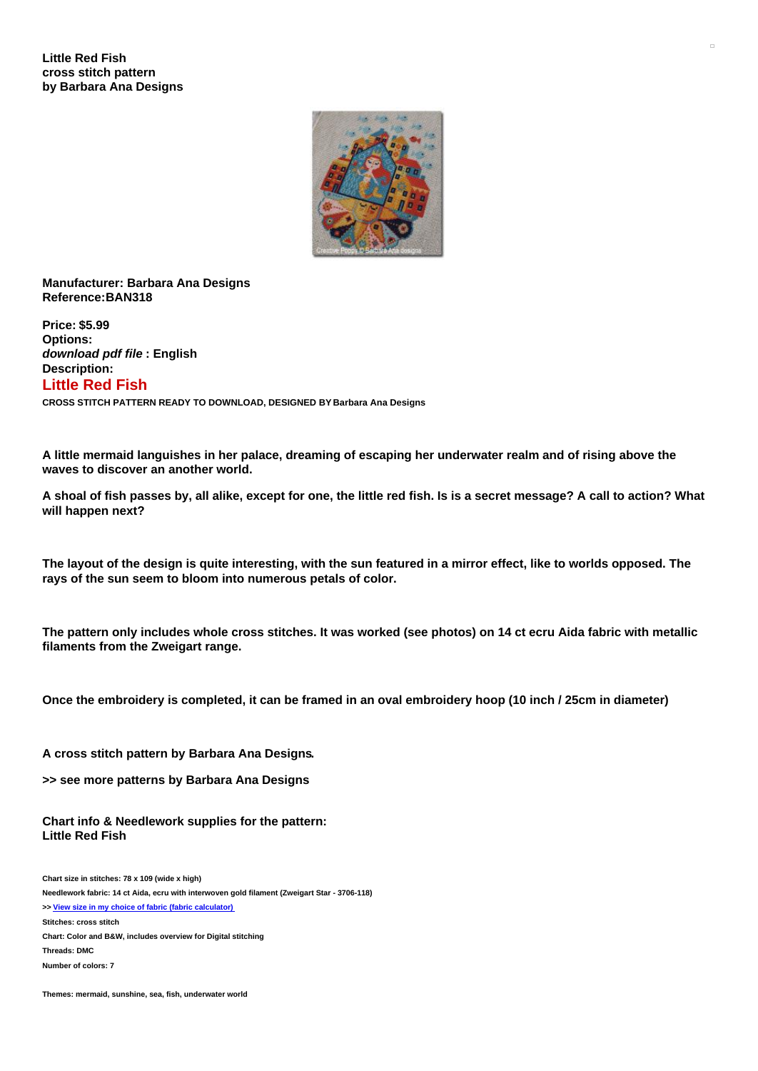

## **Manufacturer: Barbara Ana Designs Reference:BAN318**

**Price: \$5.99 Options:** *download pdf file* **: English Description: Little Red Fish CROSS STITCH PATTERN READY TO DOWNLOAD, DESIGNED BY Barbara Ana Designs**

A little mermaid languishes in her palace, dreaming of escaping her underwater realm and of rising above the **waves to discover an another world.**

A shoal of fish passes by, all alike, except for one, the little red fish. Is is a secret message? A call to action? What **will happen next?**

The layout of the design is quite interesting, with the sun featured in a mirror effect, like to worlds opposed. The **rays of the sun seem to bloom into numerous petals of color.**

The pattern only includes whole cross stitches. It was worked (see photos) on 14 ct ecru Aida fabric with metallic **filaments from the Zweigart range.**

Once the embroidery is completed, it can be framed in an oval embroidery hoop (10 inch / 25cm in diameter)

**A cross stitch pattern by Barbara Ana Designs.**

**>> see more patterns by Barbara Ana Designs**

**Chart info & Needlework supplies for the pattern: Little Red Fish**

**Chart size in stitches: 78 x 109 (wide x high) Needlework fabric: 14 ct Aida, ecru with interwoven gold filament (Zweigart Star - 3706-118) >> View size in my choice of fabric (fabric [calculator\)](https://www.creativepoppypatterns.com/calculette-de-toile.php?products_id=3955&w=78&h=109) Stitches: cross stitch Chart: Color and B&W, includes overview for Digital stitching Threads: DMC Number of colors: 7**

**Themes: mermaid, sunshine, sea, fish, underwater world**